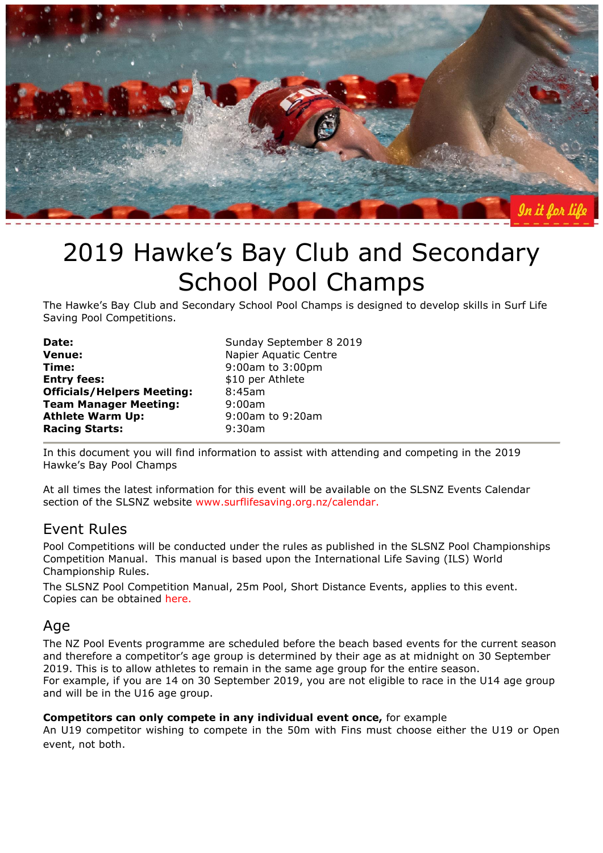

# 2019 Hawke's Bay Club and Secondary School Pool Champs

The Hawke's Bay Club and Secondary School Pool Champs is designed to develop skills in Surf Life Saving Pool Competitions.

| Sunday September 8 2019 |
|-------------------------|
| Napier Aquatic Centre   |
| 9:00am to 3:00pm        |
| \$10 per Athlete        |
| 8:45am                  |
| 9:00am                  |
| 9:00am to 9:20am        |
| 9:30am                  |
|                         |

In this document you will find information to assist with attending and competing in the 2019 Hawke's Bay Pool Champs

At all times the latest information for this event will be available on the SLSNZ Events Calendar section of the SLSNZ website [www.surflifesaving.org.nz/calendar.](http://www.surflifesaving.org.nz/calendar)

# Event Rules

Pool Competitions will be conducted under the rules as published in the SLSNZ Pool Championships Competition Manual. This manual is based upon the International Life Saving (ILS) World Championship Rules.

The SLSNZ Pool Competition Manual, 25m Pool, Short Distance Events, applies to this event. Copies can be obtained [here.](http://www.surflifesaving.org.nz/media/860402/201706_SLSNZ_PoolCompetitionManual-25m-Pool-Short-Distant-Events-.pdf)

#### Age

The NZ Pool Events programme are scheduled before the beach based events for the current season and therefore a competitor's age group is determined by their age as at midnight on 30 September 2019. This is to allow athletes to remain in the same age group for the entire season. For example, if you are 14 on 30 September 2019, you are not eligible to race in the U14 age group and will be in the U16 age group.

#### **Competitors can only compete in any individual event once,** for example

An U19 competitor wishing to compete in the 50m with Fins must choose either the U19 or Open event, not both.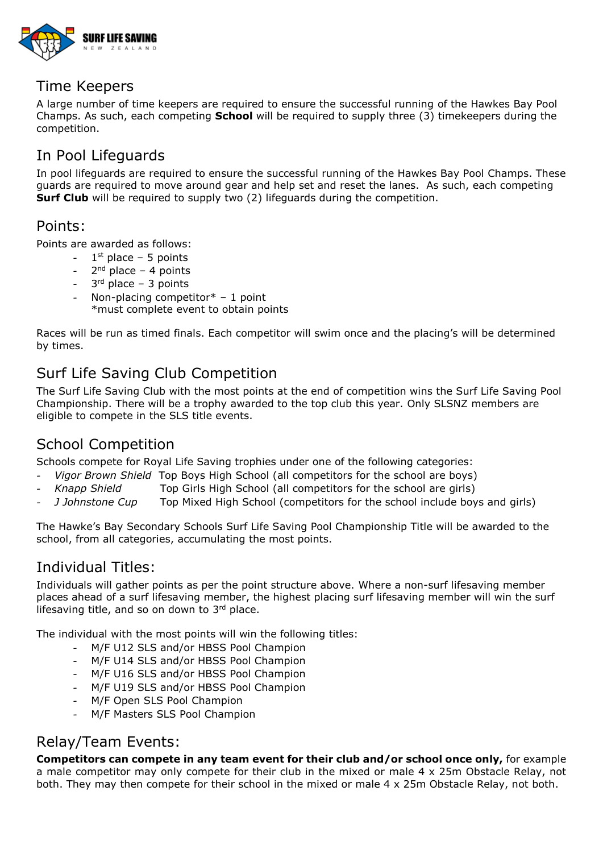

# Time Keepers

A large number of time keepers are required to ensure the successful running of the Hawkes Bay Pool Champs. As such, each competing **School** will be required to supply three (3) timekeepers during the competition.

# In Pool Lifeguards

In pool lifeguards are required to ensure the successful running of the Hawkes Bay Pool Champs. These guards are required to move around gear and help set and reset the lanes. As such, each competing **Surf Club** will be required to supply two (2) lifeguards during the competition.

### Points:

Points are awarded as follows:

- 1  $1<sup>st</sup>$  place – 5 points
- $2<sup>nd</sup>$  place 4 points
- $-3<sup>rd</sup>$  place  $-3$  points
- Non-placing competitor $* 1$  point

\*must complete event to obtain points

Races will be run as timed finals. Each competitor will swim once and the placing's will be determined by times.

# Surf Life Saving Club Competition

The Surf Life Saving Club with the most points at the end of competition wins the Surf Life Saving Pool Championship. There will be a trophy awarded to the top club this year. Only SLSNZ members are eligible to compete in the SLS title events.

# School Competition

Schools compete for Royal Life Saving trophies under one of the following categories:

- *Vigor Brown Shield* Top Boys High School (all competitors for the school are boys)
- *Knapp Shield* Top Girls High School (all competitors for the school are girls)
- *J Johnstone Cup* Top Mixed High School (competitors for the school include boys and girls)

The Hawke's Bay Secondary Schools Surf Life Saving Pool Championship Title will be awarded to the school, from all categories, accumulating the most points.

# Individual Titles:

Individuals will gather points as per the point structure above. Where a non-surf lifesaving member places ahead of a surf lifesaving member, the highest placing surf lifesaving member will win the surf lifesaving title, and so on down to 3rd place.

The individual with the most points will win the following titles:

- M/F U12 SLS and/or HBSS Pool Champion
- M/F U14 SLS and/or HBSS Pool Champion
- M/F U16 SLS and/or HBSS Pool Champion
- M/F U19 SLS and/or HBSS Pool Champion
- M/F Open SLS Pool Champion
- M/F Masters SLS Pool Champion

# Relay/Team Events:

**Competitors can compete in any team event for their club and/or school once only,** for example a male competitor may only compete for their club in the mixed or male 4 x 25m Obstacle Relay, not both. They may then compete for their school in the mixed or male 4 x 25m Obstacle Relay, not both.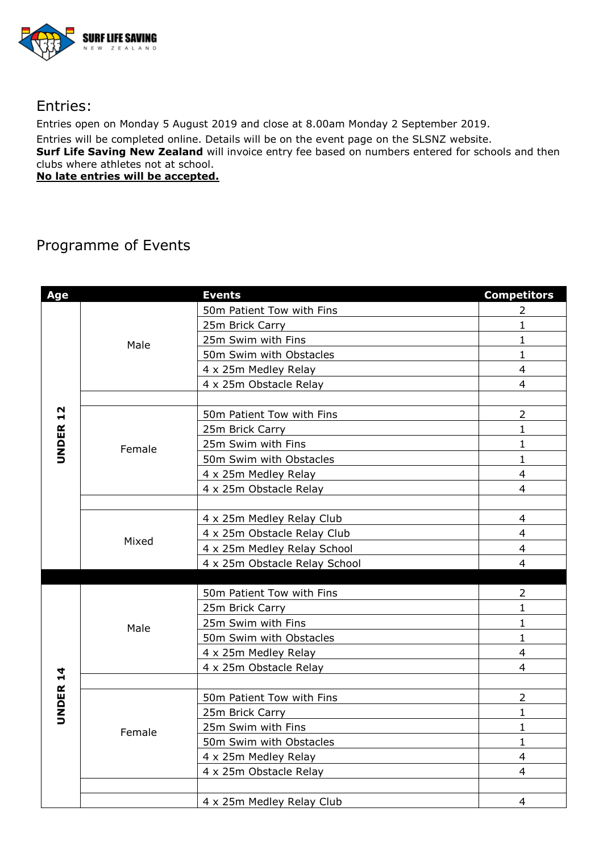

# Entries:

Entries open on Monday 5 August 2019 and close at 8.00am Monday 2 September 2019. Entries will be completed online. Details will be on the event page on the SLSNZ website. **Surf Life Saving New Zealand** will invoice entry fee based on numbers entered for schools and then clubs where athletes not at school. **No late entries will be accepted.** 

# Programme of Events

| Age          |        | <b>Events</b>                 | <b>Competitors</b> |
|--------------|--------|-------------------------------|--------------------|
|              | Male   | 50m Patient Tow with Fins     | $\overline{2}$     |
|              |        | 25m Brick Carry               | $\mathbf{1}$       |
|              |        | 25m Swim with Fins            | $\mathbf{1}$       |
|              |        | 50m Swim with Obstacles       | $\mathbf{1}$       |
|              |        | 4 x 25m Medley Relay          | $\overline{4}$     |
|              |        | 4 x 25m Obstacle Relay        | $\overline{4}$     |
|              |        |                               |                    |
| 12           | Female | 50m Patient Tow with Fins     | $\overline{2}$     |
|              |        | 25m Brick Carry               | $\mathbf{1}$       |
| <b>UNDER</b> |        | 25m Swim with Fins            | $\mathbf{1}$       |
|              |        | 50m Swim with Obstacles       | $\mathbf{1}$       |
|              |        | 4 x 25m Medley Relay          | $\overline{4}$     |
|              |        | 4 x 25m Obstacle Relay        | $\overline{4}$     |
|              |        |                               |                    |
|              |        | 4 x 25m Medley Relay Club     | 4                  |
|              | Mixed  | 4 x 25m Obstacle Relay Club   | $\overline{4}$     |
|              |        | 4 x 25m Medley Relay School   | $\overline{4}$     |
|              |        | 4 x 25m Obstacle Relay School | $\overline{4}$     |
|              |        |                               |                    |
|              | Male   | 50m Patient Tow with Fins     | 2                  |
|              |        | 25m Brick Carry               | $\mathbf{1}$       |
|              |        | 25m Swim with Fins            | $\mathbf{1}$       |
|              |        | 50m Swim with Obstacles       | $\mathbf{1}$       |
|              |        | 4 x 25m Medley Relay          | $\overline{4}$     |
|              |        | 4 x 25m Obstacle Relay        | $\overline{4}$     |
| UNDER 14     |        |                               |                    |
|              | Female | 50m Patient Tow with Fins     | $\overline{2}$     |
|              |        | 25m Brick Carry               | $\mathbf{1}$       |
|              |        | 25m Swim with Fins            | $\mathbf{1}$       |
|              |        | 50m Swim with Obstacles       | $\mathbf{1}$       |
|              |        | 4 x 25m Medley Relay          | $\overline{4}$     |
|              |        | 4 x 25m Obstacle Relay        | 4                  |
|              |        |                               |                    |
|              |        | 4 x 25m Medley Relay Club     | 4                  |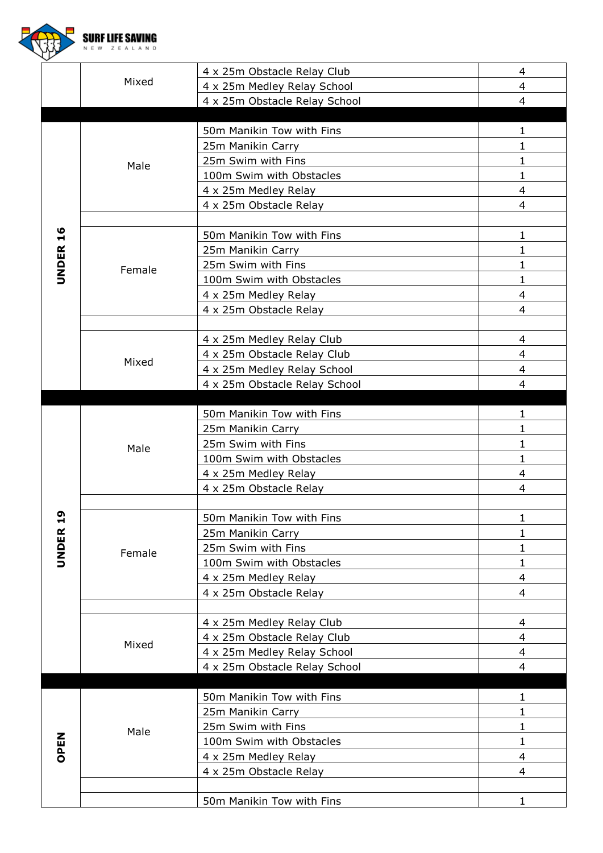|                 | SURF LIFE |                               |                |
|-----------------|-----------|-------------------------------|----------------|
|                 |           | 4 x 25m Obstacle Relay Club   | 4              |
|                 | Mixed     | 4 x 25m Medley Relay School   | $\overline{4}$ |
|                 |           | 4 x 25m Obstacle Relay School | $\overline{4}$ |
|                 |           | 50m Manikin Tow with Fins     | 1              |
| <b>UNDER 16</b> | Male      | 25m Manikin Carry             | 1              |
|                 |           | 25m Swim with Fins            | 1              |
|                 |           | 100m Swim with Obstacles      | 1              |
|                 |           | 4 x 25m Medley Relay          | $\overline{4}$ |
|                 |           | 4 x 25m Obstacle Relay        | 4              |
|                 | Female    | 50m Manikin Tow with Fins     | 1              |
|                 |           | 25m Manikin Carry             | $\mathbf 1$    |
|                 |           | 25m Swim with Fins            | $\mathbf 1$    |
|                 |           | 100m Swim with Obstacles      | $\mathbf 1$    |
|                 |           | 4 x 25m Medley Relay          | $\overline{4}$ |
|                 |           | 4 x 25m Obstacle Relay        | $\overline{4}$ |
|                 |           | 4 x 25m Medley Relay Club     | 4              |
|                 |           | 4 x 25m Obstacle Relay Club   | $\overline{4}$ |
|                 | Mixed     | 4 x 25m Medley Relay School   | $\overline{4}$ |
|                 |           | 4 x 25m Obstacle Relay School | 4              |
|                 |           | 50m Manikin Tow with Fins     | 1              |
|                 | Male      | 25m Manikin Carry             | $\mathbf 1$    |
|                 |           | 25m Swim with Fins            | 1              |
|                 |           | 100m Swim with Obstacles      | 1              |
|                 |           | 4 x 25m Medley Relay          | 4              |
|                 |           | 4 x 25m Obstacle Relay        | 4              |
|                 |           | 50m Manikin Tow with Fins     | $\mathbf{1}$   |
| <b>UNDER 19</b> |           | 25m Manikin Carry             | 1              |
|                 | Female    | 25m Swim with Fins            | $\mathbf{1}$   |
|                 |           | 100m Swim with Obstacles      | $\mathbf 1$    |
|                 |           | 4 x 25m Medley Relay          | $\overline{4}$ |
|                 |           | 4 x 25m Obstacle Relay        | $\overline{4}$ |
|                 |           | 4 x 25m Medley Relay Club     | $\overline{4}$ |
|                 |           | 4 x 25m Obstacle Relay Club   | $\overline{4}$ |
|                 | Mixed     | 4 x 25m Medley Relay School   | $\overline{4}$ |
|                 |           | 4 x 25m Obstacle Relay School | $\overline{4}$ |
|                 |           | 50m Manikin Tow with Fins     | 1              |
|                 |           | 25m Manikin Carry             | $\mathbf 1$    |
|                 | Male      | 25m Swim with Fins            | $\mathbf 1$    |
| OPEN            |           | 100m Swim with Obstacles      | $\mathbf 1$    |
|                 |           | 4 x 25m Medley Relay          | $\overline{4}$ |
|                 |           | 4 x 25m Obstacle Relay        | $\overline{4}$ |
|                 |           | 50m Manikin Tow with Fins     | $\mathbf{1}$   |
|                 |           |                               |                |